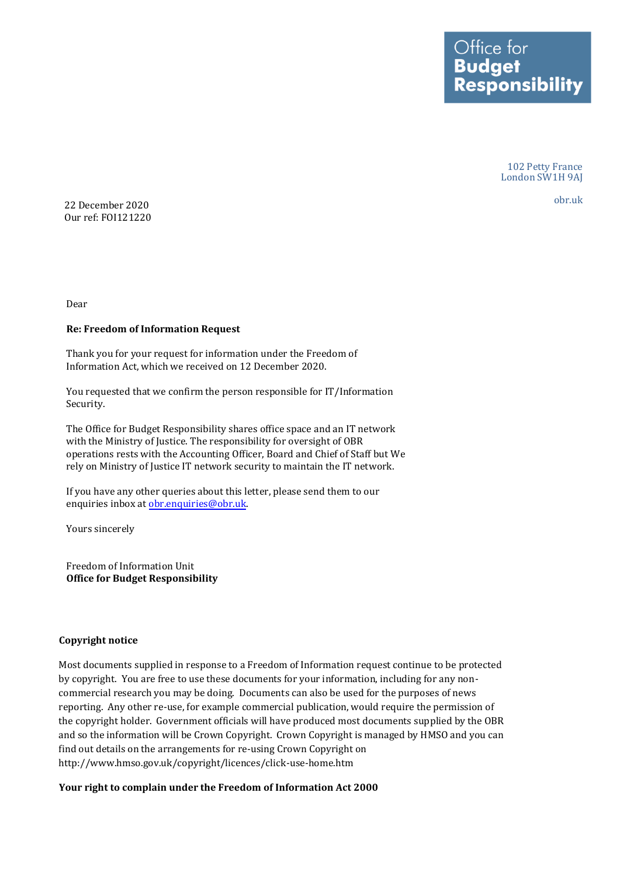Ottice tor **Budget Responsibility** 

> 102 Petty France London SW1H 9AJ

obr.uk 22 December 2020 Our ref: FOI121220

Dear

## **Re: Freedom of Information Request**

Thank you for your request for information under the Freedom of Information Act, which we received on 12 December 2020.

You requested that we confirm the person responsible for IT/Information Security.

The Office for Budget Responsibility shares office space and an IT network with the Ministry of Justice. The responsibility for oversight of OBR operations rests with the Accounting Officer, Board and Chief of Staff but We rely on Ministry of Justice IT network security to maintain the IT network.

If you have any other queries about this letter, please send them to our enquiries inbox at [obr.enquiries@obr.uk.](mailto:obr.enquiries@obr.uk) 

Yours sincerely

Freedom of Information Unit **Office for Budget Responsibility** 

## **Copyright notice**

 Most documents supplied in response to a Freedom of Information request continue to be protected by copyright. You are free to use these documents for your information, including for any non- commercial research you may be doing. Documents can also be used for the purposes of news reporting. Any other re-use, for example commercial publication, would require the permission of the copyright holder. Government officials will have produced most documents supplied by the OBR and so the information will be Crown Copyright. Crown Copyright is managed by HMSO and you can find out details on the arrangements for re-using Crown Copyright on <http://www.hmso.gov.uk/copyright/licences/click-use-home.htm>

## **Your right to complain under the Freedom of Information Act 2000**